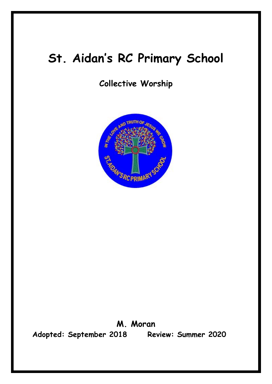# **St. Aidan's RC Primary School**

# **Collective Worship**



**M. Moran Adopted: September 2018 Review: Summer 2020**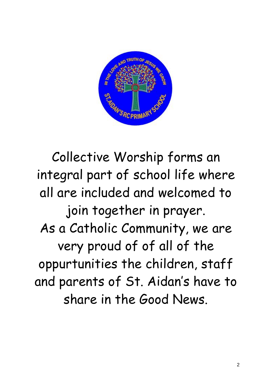

Collective Worship forms an integral part of school life where all are included and welcomed to join together in prayer. As a Catholic Community, we are very proud of of all of the oppurtunities the children, staff and parents of St. Aidan's have to share in the Good News.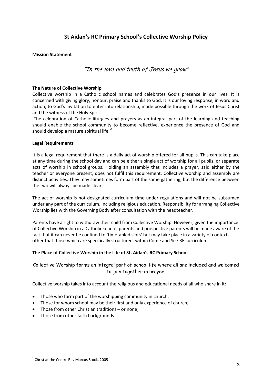# **St Aidan's RC Primary School's Collective Worship Policy**

#### **Mission Statement**

### "In the love and truth of Jesus we grow"

#### **The Nature of Collective Worship**

Collective worship in a Catholic school names and celebrates God's presence in our lives. It is concerned with giving glory, honour, praise and thanks to God. It is our loving response, in word and action, to God's invitation to enter into relationship, made possible through the work of Jesus Christ and the witness of the Holy Spirit.

'The celebration of Catholic liturgies and prayers as an integral part of the learning and teaching should enable the school community to become reflective, experience the presence of God and should develop a mature spiritual life.<sup>'1</sup>

#### **Legal Requirements**

It is a legal requirement that there is a daily act of worship offered for all pupils. This can take place at any time during the school day and can be either a single act of worship for all pupils, or separate acts of worship in school groups. Holding an assembly that includes a prayer, said either by the teacher or everyone present, does not fulfil this requirement. Collective worship and assembly are distinct activities. They may sometimes form part of the same gathering, but the difference between the two will always be made clear.

The act of worship is not designated curriculum time under regulations and will not be subsumed under any part of the curriculum, including religious education. Responsibility for arranging Collective Worship lies with the Governing Body after consultation with the headteacher.

Parents have a right to withdraw their child from Collective Worship. However, given the importance of Collective Worship in a Catholic school, parents and prospective parents will be made aware of the fact that it can never be confined to 'timetabled slots' but may take place in a variety of contexts other that those which are specifically structured, within Come and See RE curriculum.

#### **The Place of Collective Worship in the Life of St. Aidan's RC Primary School**

Collective Worship forms an integral part of school life where all are included and welcomed to join together in prayer.

Collective worship takes into account the religious and educational needs of all who share in it:

- Those who form part of the worshipping community in church;
- Those for whom school may be their first and only experience of church;
- Those from other Christian traditions or none;
- Those from other faith backgrounds.

 $\overline{a}$ 

<sup>&</sup>lt;sup>1</sup> Christ at the Centre Rev Marcus Stock, 2005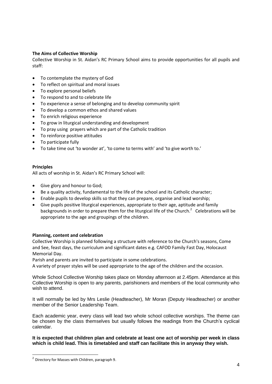#### **The Aims of Collective Worship**

Collective Worship in St. Aidan's RC Primary School aims to provide opportunities for all pupils and staff:

- To contemplate the mystery of God
- To reflect on spiritual and moral issues
- To explore personal beliefs
- To respond to and to celebrate life
- To experience a sense of belonging and to develop community spirit
- To develop a common ethos and shared values
- To enrich religious experience
- To grow in liturgical understanding and development
- To pray using prayers which are part of the Catholic tradition
- To reinforce positive attitudes
- To participate fully
- To take time out 'to wonder at', 'to come to terms with' and 'to give worth to.'

#### **Principles**

All acts of worship in St. Aidan's RC Primary School will:

- Give glory and honour to God;
- Be a quality activity, fundamental to the life of the school and its Catholic character;
- Enable pupils to develop skills so that they can prepare, organise and lead worship;
- Give pupils positive liturgical experiences, appropriate to their age, aptitude and family backgrounds in order to prepare them for the liturgical life of the Church.<sup>2</sup> Celebrations will be appropriate to the age and groupings of the children.

#### **Planning, content and celebration**

Collective Worship is planned following a structure with reference to the Church's seasons, Come and See, feast days, the curriculum and significant dates e.g. CAFOD Family Fast Day, Holocaust Memorial Day.

Parish and parents are invited to participate in some celebrations.

A variety of prayer styles will be used appropriate to the age of the children and the occasion.

Whole School Collective Worship takes place on Monday afternoon at 2.45pm. Attendance at this Collective Worship is open to any parents, parishioners and members of the local community who wish to attend.

It will normally be led by Mrs Leslie (Headteacher), Mr Moran (Deputy Headteacher) or another member of the Senior Leadership Team.

Each academic year, every class will lead two whole school collective worships. The theme can be chosen by the class themselves but usually follows the readings from the Church's cyclical calendar.

#### **It is expected that children plan and celebrate at least one act of worship per week in class which is child lead. This is timetabled and staff can facilitate this in anyway they wish.**

 $\overline{a}$ 

 $^2$  Directory for Masses with Children, paragraph 9.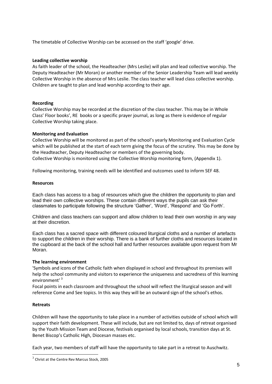The timetable of Collective Worship can be accessed on the staff 'google' drive.

#### **Leading collective worship**

As faith leader of the school, the Headteacher (Mrs Leslie) will plan and lead collective worship. The Deputy Headteacher (Mr Moran) or another member of the Senior Leadership Team will lead weekly Collective Worship in the absence of Mrs Leslie. The class teacher will lead class collective worship. Children are taught to plan and lead worship according to their age.

#### **Recording**

Collective Worship may be recorded at the discretion of the class teacher. This may be in Whole Class' Floor books', RE books or a specific prayer journal, as long as there is evidence of regular Collective Worship taking place.

#### **Monitoring and Evaluation**

Collective Worship will be monitored as part of the school's yearly Monitoring and Evaluation Cycle which will be published at the start of each term giving the focus of the scrutiny. This may be done by the Headteacher, Deputy Headteacher or members of the governing body.

Collective Worship is monitored using the Collective Worship monitoring form, (Appendix 1).

Following monitoring, training needs will be identified and outcomes used to inform SEF 48.

#### **Resources**

Each class has access to a bag of resources which give the children the opportunity to plan and lead their own collective worships. These contain different ways the pupils can ask their classmates to participate following the structure 'Gather', 'Word', 'Respond' and 'Go Forth'.

Children and class teachers can support and allow children to lead their own worship in any way at their discretion.

Each class has a sacred space with different coloured liturgical cloths and a number of artefacts to support the children in their worship. There is a bank of further cloths and resources located in the cupboard at the back of the school hall and further resources available upon request from Mr Moran.

#### **The learning environment**

'Symbols and icons of the Catholic faith when displayed in school and throughout its premises will help the school community and visitors to experience the uniqueness and sacredness of this learning environment' <sup>3</sup>

Focal points in each classroom and throughout the school will reflect the liturgical season and will reference Come and See topics. In this way they will be an outward sign of the school's ethos.

#### **Retreats**

 $\overline{a}$ 

Children will have the opportunity to take place in a number of activities outside of school which will support their faith development. These will include, but are not limited to, days of retreat organised by the Youth Mission Team and Diocese, festivals organised by local schools, transition days at St. Benet Biscop's Catholic High, Diocesan masses etc.

Each year, two members of staff will have the opportunity to take part in a retreat to Auschwitz.

 $^3$  Christ at the Centre Rev Marcus Stock, 2005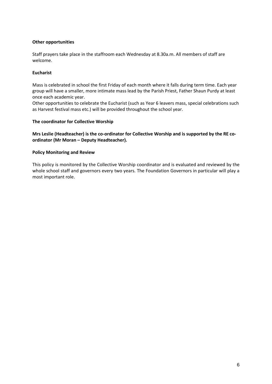#### **Other opportunities**

Staff prayers take place in the staffroom each Wednesday at 8.30a.m. All members of staff are welcome.

#### **Eucharist**

Mass is celebrated in school the first Friday of each month where it falls during term time. Each year group will have a smaller, more intimate mass lead by the Parish Priest, Father Shaun Purdy at least once each academic year.

Other opportunities to celebrate the Eucharist (such as Year 6 leavers mass, special celebrations such as Harvest festival mass etc.) will be provided throughout the school year.

#### **The coordinator for Collective Worship**

**Mrs Leslie (Headteacher) is the co-ordinator for Collective Worship and is supported by the RE coordinator (Mr Moran – Deputy Headteacher).**

#### **Policy Monitoring and Review**

This policy is monitored by the Collective Worship coordinator and is evaluated and reviewed by the whole school staff and governors every two years. The Foundation Governors in particular will play a most important role.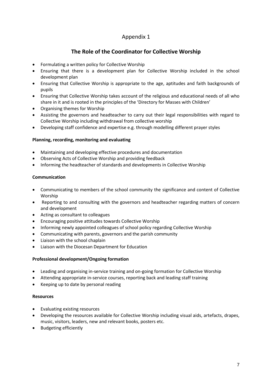# Appendix 1

# **The Role of the Coordinator for Collective Worship**

- Formulating a written policy for Collective Worship
- Ensuring that there is a development plan for Collective Worship included in the school development plan
- Ensuring that Collective Worship is appropriate to the age, aptitudes and faith backgrounds of pupils
- Ensuring that Collective Worship takes account of the religious and educational needs of all who share in it and is rooted in the principles of the 'Directory for Masses with Children'
- Organising themes for Worship
- Assisting the governors and headteacher to carry out their legal responsibilities with regard to Collective Worship including withdrawal from collective worship
- Developing staff confidence and expertise e.g. through modelling different prayer styles

#### **Planning, recording, monitoring and evaluating**

- Maintaining and developing effective procedures and documentation
- Observing Acts of Collective Worship and providing feedback
- Informing the headteacher of standards and developments in Collective Worship

#### **Communication**

- Communicating to members of the school community the significance and content of Collective Worship
- Reporting to and consulting with the governors and headteacher regarding matters of concern and development
- Acting as consultant to colleagues
- Encouraging positive attitudes towards Collective Worship
- Informing newly appointed colleagues of school policy regarding Collective Worship
- Communicating with parents, governors and the parish community
- Liaison with the school chaplain
- Liaison with the Diocesan Department for Education

#### **Professional development/Ongoing formation**

- Leading and organising in-service training and on-going formation for Collective Worship
- Attending appropriate in-service courses, reporting back and leading staff training
- Keeping up to date by personal reading

#### **Resources**

- Evaluating existing resources
- Developing the resources available for Collective Worship including visual aids, artefacts, drapes, music, visitors, leaders, new and relevant books, posters etc.
- Budgeting efficiently